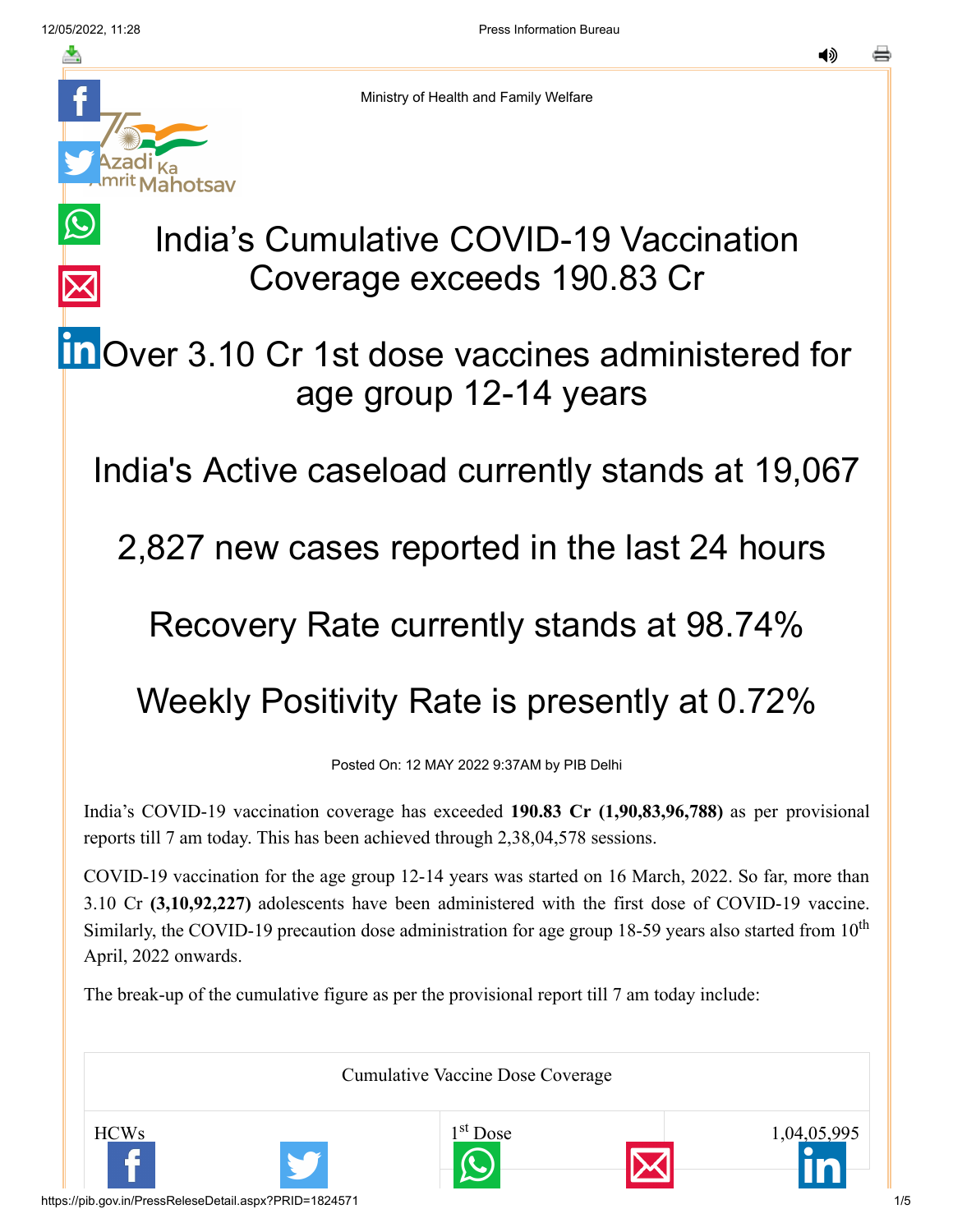

Ministry of Health and Family Welfare

## India's Cumulative COVID-19 Vaccination Coverage exceeds 190.83 Cr

## **in** [O](https://www.linkedin.com/shareArticle?mini=true&url=https://pib.gov.in/PressReleasePage.aspx?PRID=1824571&title=India%E2%80%99s%20Cumulative%20COVID-19%20Vaccination%20Coverage%20exceeds%20190.83%20Cr&summary=My%20favorite%20developer%20program&source=LinkedIn)ver 3.10 Cr 1st dose vaccines administered for age group 12-14 years

India's Active caseload currently stands at 19,067

2,827 new cases reported in the last 24 hours

## Recovery Rate currently stands at 98.74%

## Weekly Positivity Rate is presently at 0.72%

Posted On: 12 MAY 2022 9:37AM by PIB Delhi

India's COVID-19 vaccination coverage has exceeded **190.83 Cr (1,90,83,96,788)** as per provisional reports till 7 am today. This has been achieved through 2,38,04,578 sessions.

COVID-19 vaccination for the age group 12-14 years was started on 16 March, 2022. So far, more than 3.10 Cr **(3,10,92,227)** adolescents have been administered with the first dose of COVID-19 vaccine. Similarly, the COVID-19 precaution dose administration for age group 18-59 years also started from  $10<sup>th</sup>$ April, 2022 onwards.

The break-up of the cumulative figure as per the provisional report till 7 am today include:

Cumulative Vaccine Dose Coverage

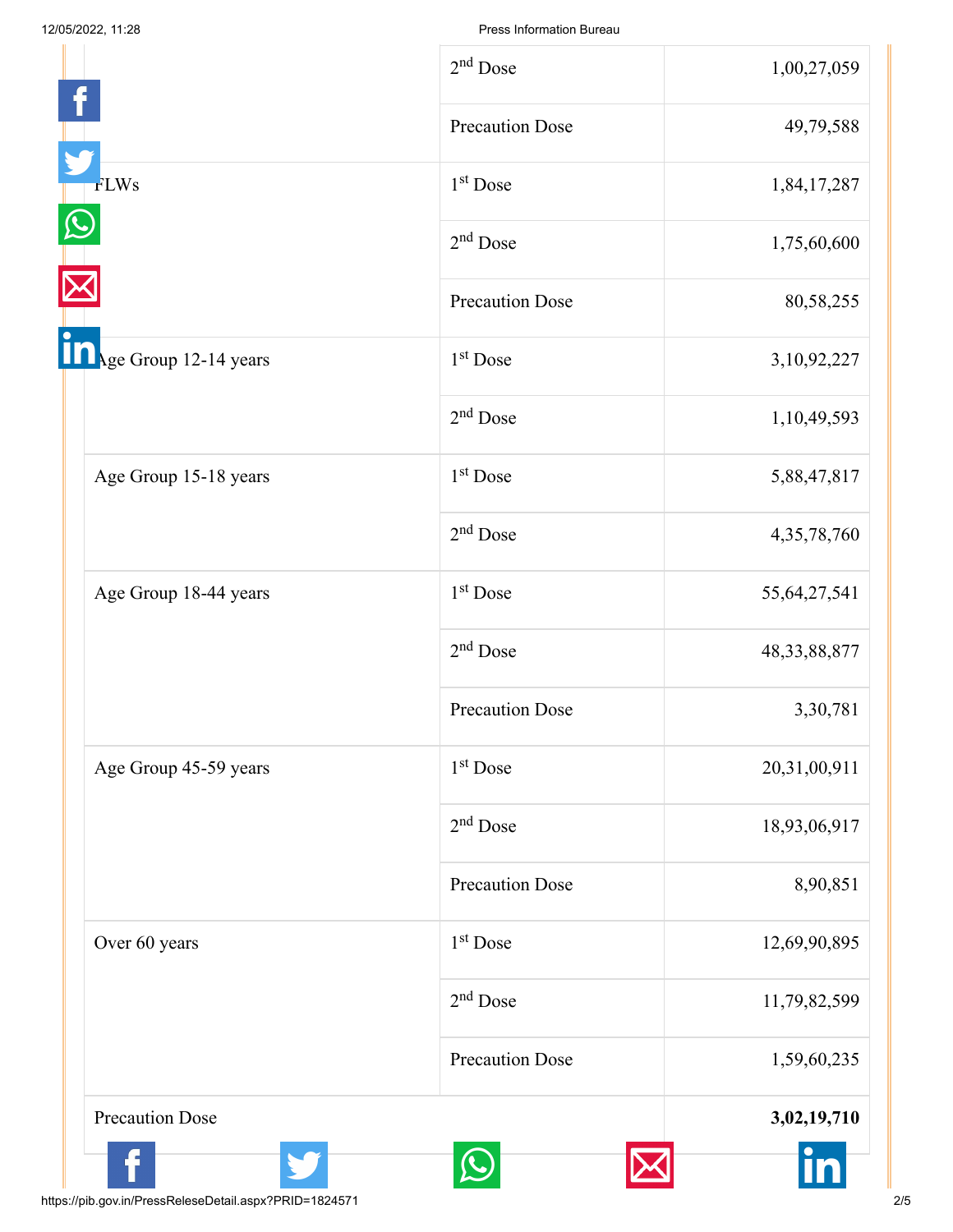|                       | $2nd$ Dose             | 1,00,27,059     |
|-----------------------|------------------------|-----------------|
|                       | <b>Precaution Dose</b> | 49,79,588       |
| <b>FLWs</b>           | 1 <sup>st</sup> Dose   | 1,84,17,287     |
|                       | $2nd$ Dose             | 1,75,60,600     |
|                       | <b>Precaution Dose</b> | 80,58,255       |
| Age Group 12-14 years | 1 <sup>st</sup> Dose   | 3, 10, 92, 227  |
|                       | $2nd$ Dose             | 1,10,49,593     |
| Age Group 15-18 years | $1st$ Dose             | 5,88,47,817     |
|                       | $2nd$ Dose             | 4,35,78,760     |
| Age Group 18-44 years | 1 <sup>st</sup> Dose   | 55, 64, 27, 541 |
|                       | $2nd$ Dose             | 48, 33, 88, 877 |
|                       | <b>Precaution Dose</b> | 3,30,781        |
| Age Group 45-59 years | 1 <sup>st</sup> Dose   | 20,31,00,911    |
|                       | $2nd$ Dose             | 18,93,06,917    |
|                       | <b>Precaution Dose</b> | 8,90,851        |
| Over 60 years         | $1st$ Dose             | 12,69,90,895    |
|                       | $2nd$ Dose             | 11,79,82,599    |
|                       | <b>Precaution Dose</b> | 1,59,60,235     |
| Precaution Dose       |                        | 3,02,19,710     |
|                       |                        |                 |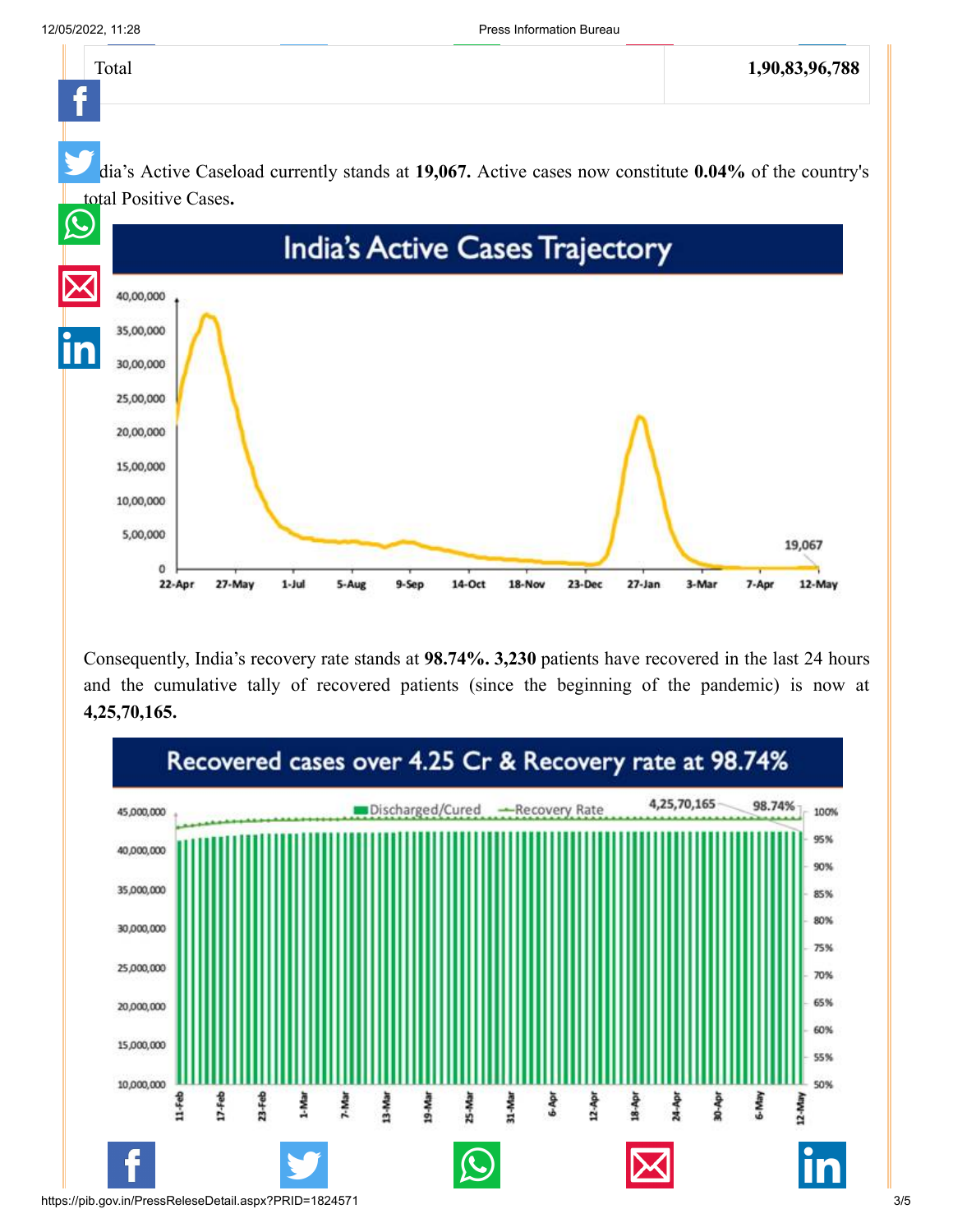

Consequently, India's recovery rate stands at **98.74%. 3,230** patients have recovered in the last 24 hours and the cumulative tally of recovered patients (since the beginning of the pandemic) is now at **4,25,70,165.**

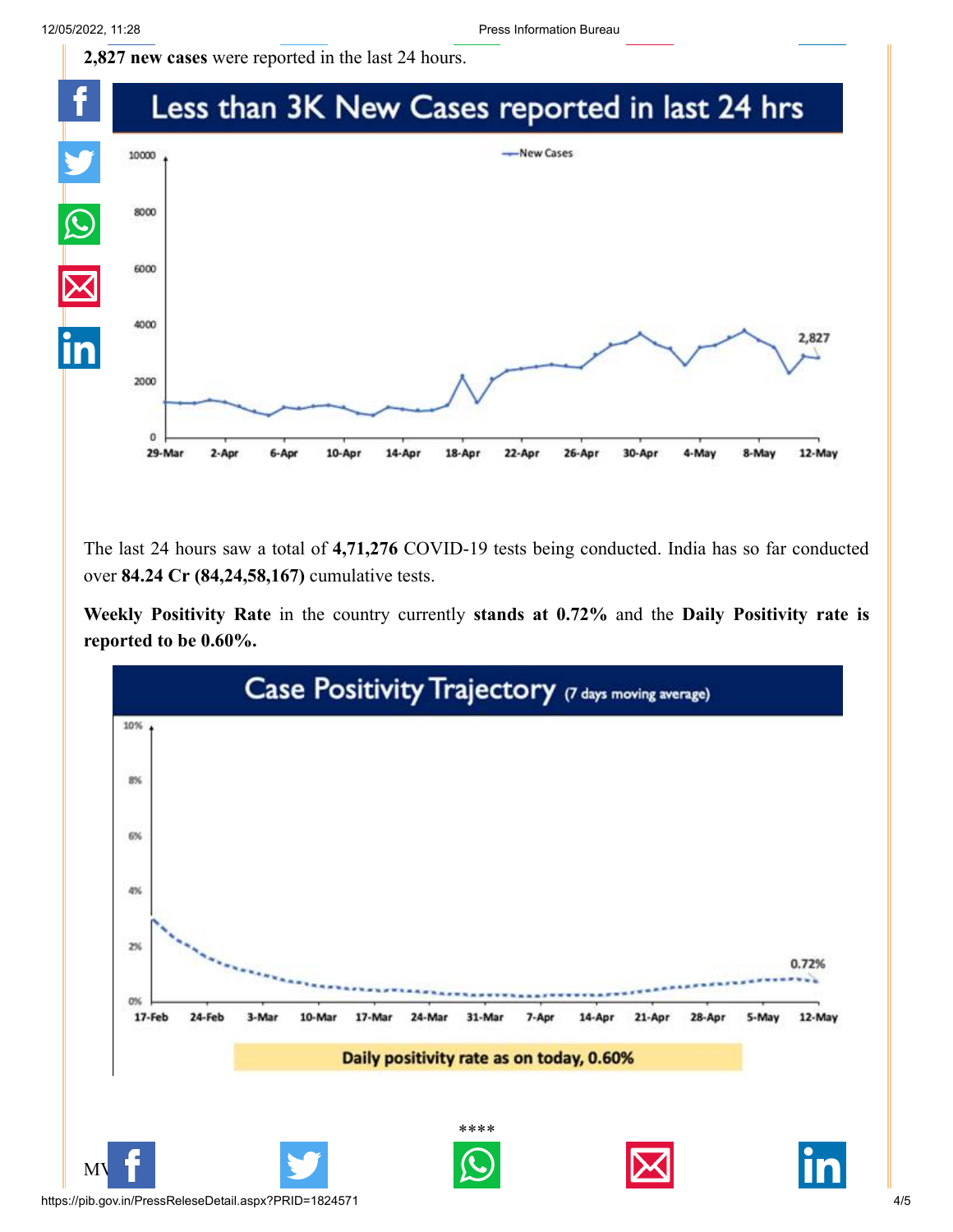**[2,827 new cases](http://www.facebook.com/share.php?u=https://pib.gov.in/PressReleasePage.aspx?PRID=1824571)** [were reported in the last](https://twitter.com/intent/tweet?url=https://pib.gov.in/PressReleasePage.aspx?PRID=1824571&text=India%E2%80%99s%20Cumulative%20COVID-19%20Vaccination%20Coverage%20exceeds%20190.83%20Cr) [24 hours.](https://api.whatsapp.com/send?text=https://pib.gov.in/PressReleasePage.aspx?PRID=1824571)



The last 24 hours saw a total of **4,71,276** COVID-19 tests being conducted. India has so far conducted over **84.24 Cr (84,24,58,167)** cumulative tests.

**Weekly Positivity Rate** in the country currently **stands at 0.72%** and the **Daily Positivity rate is reported to be 0.60%.**